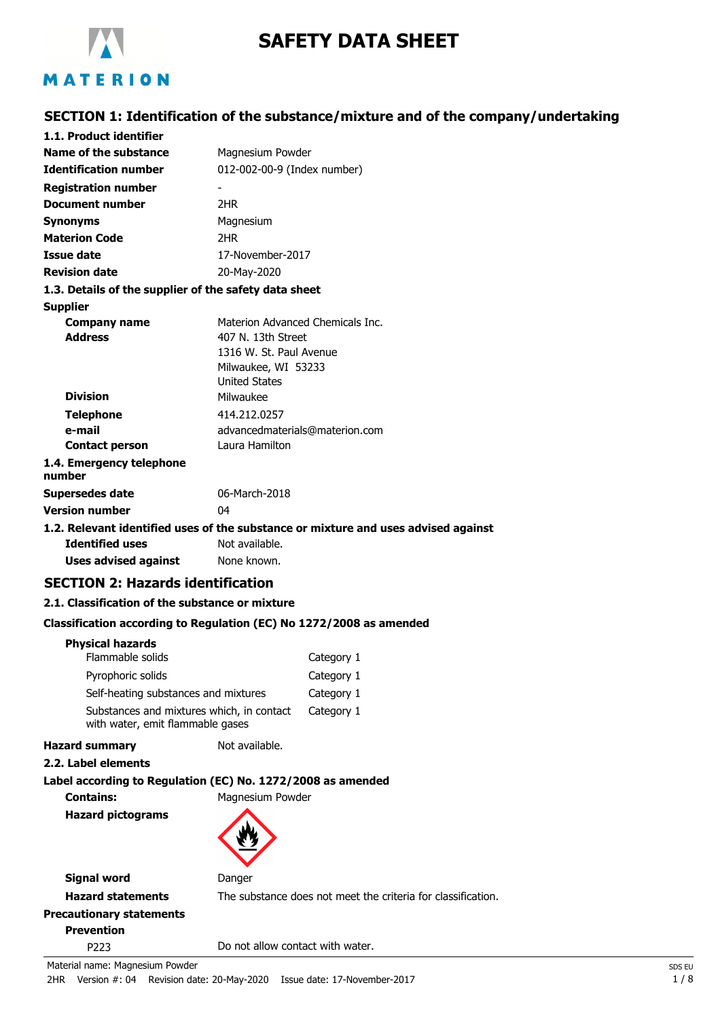

# **SAFETY DATA SHEET**

# **SECTION 1: Identification of the substance/mixture and of the company/undertaking**

| 1.1. Product identifier                                                            |                                               |            |
|------------------------------------------------------------------------------------|-----------------------------------------------|------------|
| Name of the substance                                                              | Magnesium Powder                              |            |
| <b>Identification number</b>                                                       | 012-002-00-9 (Index number)                   |            |
| <b>Registration number</b>                                                         |                                               |            |
| <b>Document number</b>                                                             | 2HR                                           |            |
| <b>Synonyms</b>                                                                    | Magnesium                                     |            |
| <b>Materion Code</b>                                                               | 2HR                                           |            |
| Issue date                                                                         | 17-November-2017                              |            |
| <b>Revision date</b>                                                               | 20-May-2020                                   |            |
| 1.3. Details of the supplier of the safety data sheet                              |                                               |            |
| <b>Supplier</b>                                                                    |                                               |            |
| <b>Company name</b>                                                                | Materion Advanced Chemicals Inc.              |            |
| <b>Address</b>                                                                     | 407 N. 13th Street<br>1316 W. St. Paul Avenue |            |
|                                                                                    | Milwaukee, WI 53233                           |            |
|                                                                                    | <b>United States</b>                          |            |
| <b>Division</b>                                                                    | Milwaukee                                     |            |
| <b>Telephone</b>                                                                   | 414.212.0257                                  |            |
| e-mail                                                                             | advancedmaterials@materion.com                |            |
| <b>Contact person</b>                                                              | Laura Hamilton                                |            |
| 1.4. Emergency telephone<br>number                                                 |                                               |            |
| <b>Supersedes date</b>                                                             | 06-March-2018                                 |            |
| <b>Version number</b>                                                              | 04                                            |            |
| 1.2. Relevant identified uses of the substance or mixture and uses advised against |                                               |            |
| <b>Identified uses</b>                                                             | Not available.                                |            |
| <b>Uses advised against</b>                                                        | None known.                                   |            |
| <b>SECTION 2: Hazards identification</b>                                           |                                               |            |
| 2.1. Classification of the substance or mixture                                    |                                               |            |
| Classification according to Regulation (EC) No 1272/2008 as amended                |                                               |            |
| <b>Physical hazards</b>                                                            |                                               |            |
| Flammable solids                                                                   |                                               | Category 1 |
| Pyrophoric solids                                                                  |                                               | Category 1 |
| Self-heating substances and mixtures                                               |                                               | Category 1 |
| Substances and mixtures which, in contact<br>with water, emit flammable gases      |                                               | Category 1 |
| <b>Hazard summary</b>                                                              | Not available.                                |            |
| 2.2. Label elements                                                                |                                               |            |
| Label according to Regulation (EC) No. 1272/2008 as amended                        |                                               |            |

**Contains:** Magnesium Powder

**Hazard pictograms**



**Signal word** Danger

**Hazard statements** The substance does not meet the criteria for classification.

**Precautionary statements Prevention**

P223 Do not allow contact with water.

Material name: Magnesium Powder SDS EU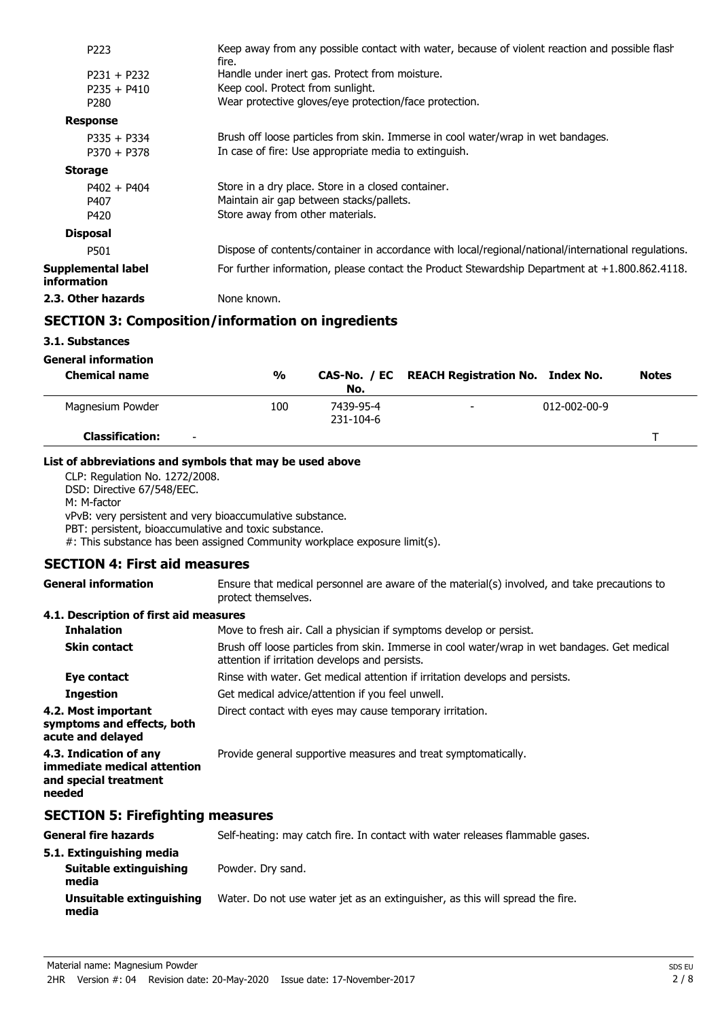| P <sub>223</sub>                  | Keep away from any possible contact with water, because of violent reaction and possible flash<br>fire. |
|-----------------------------------|---------------------------------------------------------------------------------------------------------|
| $P231 + P232$                     | Handle under inert gas. Protect from moisture.                                                          |
| $P235 + P410$                     | Keep cool. Protect from sunlight.                                                                       |
| P280                              | Wear protective gloves/eye protection/face protection.                                                  |
| <b>Response</b>                   |                                                                                                         |
| $P335 + P334$                     | Brush off loose particles from skin. Immerse in cool water/wrap in wet bandages.                        |
| $P370 + P378$                     | In case of fire: Use appropriate media to extinguish.                                                   |
| <b>Storage</b>                    |                                                                                                         |
| $P402 + P404$                     | Store in a dry place. Store in a closed container.                                                      |
| P407                              | Maintain air gap between stacks/pallets.                                                                |
| P420                              | Store away from other materials.                                                                        |
| <b>Disposal</b>                   |                                                                                                         |
| P501                              | Dispose of contents/container in accordance with local/regional/national/international regulations.     |
| Supplemental label<br>information | For further information, please contact the Product Stewardship Department at $+1.800.862.4118$ .       |
| 2.3. Other hazards                | None known.                                                                                             |
|                                   |                                                                                                         |

# **SECTION 3: Composition/information on ingredients**

**3.1. Substances**

| General information                                |               |                        |                                               |                      |              |
|----------------------------------------------------|---------------|------------------------|-----------------------------------------------|----------------------|--------------|
| <b>Chemical name</b>                               | $\frac{0}{0}$ | No.                    | CAS-No. / EC REACH Registration No. Index No. |                      | <b>Notes</b> |
| Magnesium Powder                                   | 100           | 7439-95-4<br>231-104-6 | $\overline{\phantom{0}}$                      | $012 - 002 - 00 - 9$ |              |
| <b>Classification:</b><br>$\overline{\phantom{0}}$ |               |                        |                                               |                      |              |

### **List of abbreviations and symbols that may be used above**

CLP: Regulation No. 1272/2008. DSD: Directive 67/548/EEC. M: M-factor vPvB: very persistent and very bioaccumulative substance. PBT: persistent, bioaccumulative and toxic substance. #: This substance has been assigned Community workplace exposure limit(s).

# **SECTION 4: First aid measures**

Ensure that medical personnel are aware of the material(s) involved, and take precautions to protect themselves. **General information 4.1. Description of first aid measures Inhalation** Move to fresh air. Call a physician if symptoms develop or persist. Brush off loose particles from skin. Immerse in cool water/wrap in wet bandages. Get medical attention if irritation develops and persists. **Skin contact Eye contact** Rinse with water. Get medical attention if irritation develops and persists. **Ingestion** Get medical advice/attention if you feel unwell. **4.2. Most important** Direct contact with eyes may cause temporary irritation. **symptoms and effects, both acute and delayed 4.3. Indication of any Provide general supportive measures and treat symptomatically. immediate medical attention and special treatment needed**

## **SECTION 5: Firefighting measures**

| General fire hazards              | Self-heating: may catch fire. In contact with water releases flammable gases. |
|-----------------------------------|-------------------------------------------------------------------------------|
| 5.1. Extinguishing media          |                                                                               |
| Suitable extinguishing<br>media   | Powder. Dry sand.                                                             |
| Unsuitable extinguishing<br>media | Water. Do not use water jet as an extinguisher, as this will spread the fire. |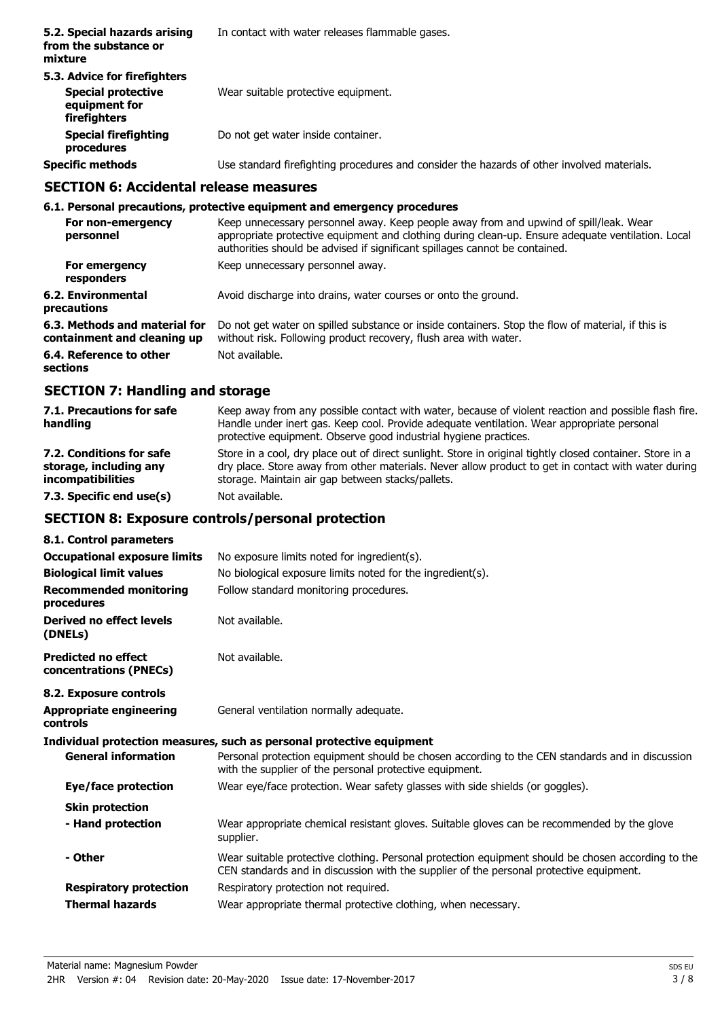| 5.2. Special hazards arising<br>from the substance or<br>mixture                           | In contact with water releases flammable gases.                                            |
|--------------------------------------------------------------------------------------------|--------------------------------------------------------------------------------------------|
| 5.3. Advice for firefighters<br><b>Special protective</b><br>equipment for<br>firefighters | Wear suitable protective equipment.                                                        |
| <b>Special firefighting</b><br>procedures                                                  | Do not get water inside container.                                                         |
| <b>Specific methods</b>                                                                    | Use standard firefighting procedures and consider the hazards of other involved materials. |

#### **SECTION 6: Accidental release measures**

### **6.1. Personal precautions, protective equipment and emergency procedures**

|             | For non-emergency<br>personnel                               | Keep unnecessary personnel away. Keep people away from and upwind of spill/leak. Wear<br>appropriate protective equipment and clothing during clean-up. Ensure adequate ventilation. Local<br>authorities should be advised if significant spillages cannot be contained. |
|-------------|--------------------------------------------------------------|---------------------------------------------------------------------------------------------------------------------------------------------------------------------------------------------------------------------------------------------------------------------------|
|             | For emergency<br>responders                                  | Keep unnecessary personnel away.                                                                                                                                                                                                                                          |
| precautions | 6.2. Environmental                                           | Avoid discharge into drains, water courses or onto the ground.                                                                                                                                                                                                            |
|             | 6.3. Methods and material for<br>containment and cleaning up | Do not get water on spilled substance or inside containers. Stop the flow of material, if this is<br>without risk. Following product recovery, flush area with water.                                                                                                     |
| sections    | 6.4. Reference to other                                      | Not available.                                                                                                                                                                                                                                                            |

# **SECTION 7: Handling and storage**

| 7.1. Precautions for safe<br>handling | Keep away from any possible contact with water, because of violent reaction and possible flash fire.<br>Handle under inert gas. Keep cool. Provide adequate ventilation. Wear appropriate personal<br>protective equipment. Observe good industrial hygiene practices. |
|---------------------------------------|------------------------------------------------------------------------------------------------------------------------------------------------------------------------------------------------------------------------------------------------------------------------|
| 7.2. Conditions for safe              | Store in a cool, dry place out of direct sunlight. Store in original tightly closed container. Store in a                                                                                                                                                              |
| storage, including any                | dry place. Store away from other materials. Never allow product to get in contact with water during                                                                                                                                                                    |
| <i>incompatibilities</i>              | storage. Maintain air gap between stacks/pallets.                                                                                                                                                                                                                      |
| 7.3. Specific end use(s)              | Not available.                                                                                                                                                                                                                                                         |

# **SECTION 8: Exposure controls/personal protection**

| 8.1. Control parameters                              |                                                                                                                                                                                               |
|------------------------------------------------------|-----------------------------------------------------------------------------------------------------------------------------------------------------------------------------------------------|
| <b>Occupational exposure limits</b>                  | No exposure limits noted for ingredient(s).                                                                                                                                                   |
| <b>Biological limit values</b>                       | No biological exposure limits noted for the ingredient(s).                                                                                                                                    |
| <b>Recommended monitoring</b><br>procedures          | Follow standard monitoring procedures.                                                                                                                                                        |
| Derived no effect levels<br>(DNELs)                  | Not available.                                                                                                                                                                                |
| <b>Predicted no effect</b><br>concentrations (PNECs) | Not available.                                                                                                                                                                                |
| 8.2. Exposure controls                               |                                                                                                                                                                                               |
| <b>Appropriate engineering</b><br>controls           | General ventilation normally adequate.                                                                                                                                                        |
|                                                      | Individual protection measures, such as personal protective equipment                                                                                                                         |
| <b>General information</b>                           | Personal protection equipment should be chosen according to the CEN standards and in discussion<br>with the supplier of the personal protective equipment.                                    |
| Eye/face protection                                  | Wear eye/face protection. Wear safety glasses with side shields (or goggles).                                                                                                                 |
| <b>Skin protection</b>                               |                                                                                                                                                                                               |
| - Hand protection                                    | Wear appropriate chemical resistant gloves. Suitable gloves can be recommended by the glove<br>supplier.                                                                                      |
| - Other                                              | Wear suitable protective clothing. Personal protection equipment should be chosen according to the<br>CEN standards and in discussion with the supplier of the personal protective equipment. |
| <b>Respiratory protection</b>                        | Respiratory protection not required.                                                                                                                                                          |
| <b>Thermal hazards</b>                               | Wear appropriate thermal protective clothing, when necessary.                                                                                                                                 |
|                                                      |                                                                                                                                                                                               |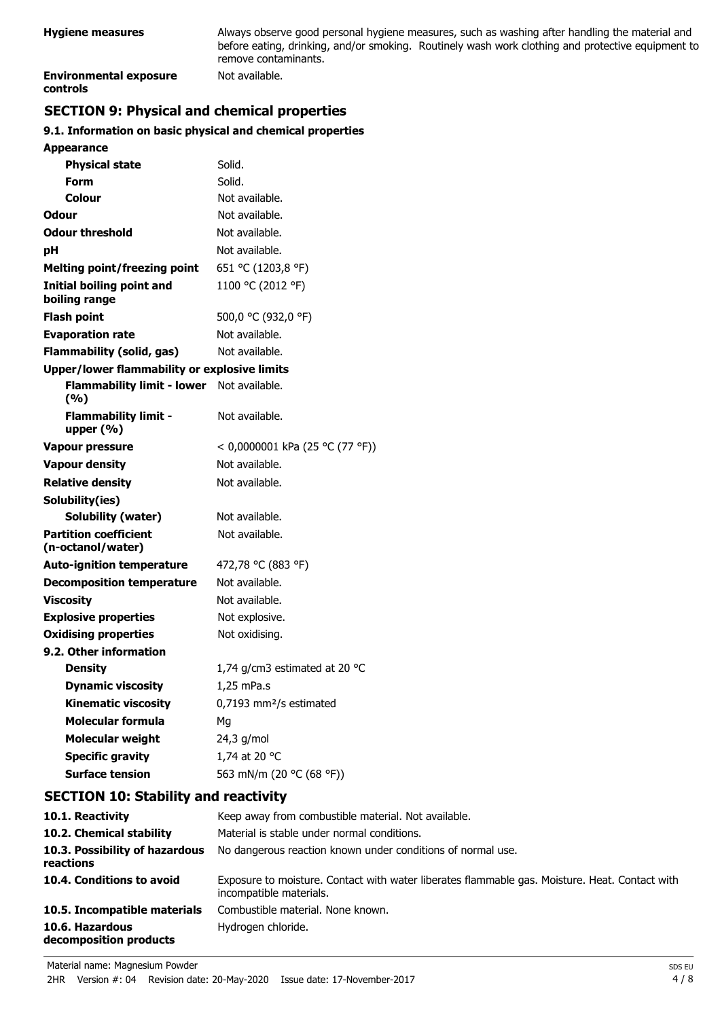| Hygiene measures                          | Always observe good personal hygiene measures, such as washing after handling the material and<br>before eating, drinking, and/or smoking. Routinely wash work clothing and protective equipment to<br>remove contaminants. |
|-------------------------------------------|-----------------------------------------------------------------------------------------------------------------------------------------------------------------------------------------------------------------------------|
| <b>Environmental exposure</b><br>controls | Not available.                                                                                                                                                                                                              |

# **SECTION 9: Physical and chemical properties**

# **9.1. Information on basic physical and chemical properties**

| <b>Appearance</b>                                 |                                     |
|---------------------------------------------------|-------------------------------------|
| <b>Physical state</b>                             | Solid.                              |
| Form                                              | Solid.                              |
| Colour                                            | Not available.                      |
| Odour                                             | Not available.                      |
| <b>Odour threshold</b>                            | Not available.                      |
| рH                                                | Not available.                      |
| <b>Melting point/freezing point</b>               | 651 °C (1203,8 °F)                  |
| <b>Initial boiling point and</b><br>boiling range | 1100 °C (2012 °F)                   |
| <b>Flash point</b>                                | 500,0 °C (932,0 °F)                 |
| <b>Evaporation rate</b>                           | Not available.                      |
| Flammability (solid, gas)                         | Not available.                      |
| Upper/lower flammability or explosive limits      |                                     |
| <b>Flammability limit - lower</b><br>(9/6)        | Not available.                      |
| <b>Flammability limit -</b><br>upper $(\% )$      | Not available.                      |
| <b>Vapour pressure</b>                            | < 0,0000001 kPa (25 °C (77 °F))     |
| <b>Vapour density</b>                             | Not available.                      |
| <b>Relative density</b>                           | Not available.                      |
| Solubility(ies)                                   |                                     |
| Solubility (water)                                | Not available.                      |
| <b>Partition coefficient</b><br>(n-octanol/water) | Not available.                      |
| <b>Auto-ignition temperature</b>                  | 472,78 °C (883 °F)                  |
| <b>Decomposition temperature</b>                  | Not available.                      |
| <b>Viscosity</b>                                  | Not available.                      |
| <b>Explosive properties</b>                       | Not explosive.                      |
| <b>Oxidising properties</b>                       | Not oxidising.                      |
| 9.2. Other information                            |                                     |
| <b>Density</b>                                    | 1,74 g/cm3 estimated at 20 °C       |
| <b>Dynamic viscosity</b>                          | 1,25 mPa.s                          |
| <b>Kinematic viscosity</b>                        | 0,7193 mm <sup>2</sup> /s estimated |
| <b>Molecular formula</b>                          | Mg                                  |
| <b>Molecular weight</b>                           | 24,3 g/mol                          |
| <b>Specific gravity</b>                           | 1,74 at 20 °C                       |
| <b>Surface tension</b>                            | 563 mN/m (20 °C (68 °F))            |

# **SECTION 10: Stability and reactivity**

| 10.1. Reactivity                            | Keep away from combustible material. Not available.                                                                       |
|---------------------------------------------|---------------------------------------------------------------------------------------------------------------------------|
| 10.2. Chemical stability                    | Material is stable under normal conditions.                                                                               |
| 10.3. Possibility of hazardous<br>reactions | No dangerous reaction known under conditions of normal use.                                                               |
| 10.4. Conditions to avoid                   | Exposure to moisture. Contact with water liberates flammable gas. Moisture. Heat. Contact with<br>incompatible materials. |
| 10.5. Incompatible materials                | Combustible material. None known.                                                                                         |
| 10.6. Hazardous<br>decomposition products   | Hydrogen chloride.                                                                                                        |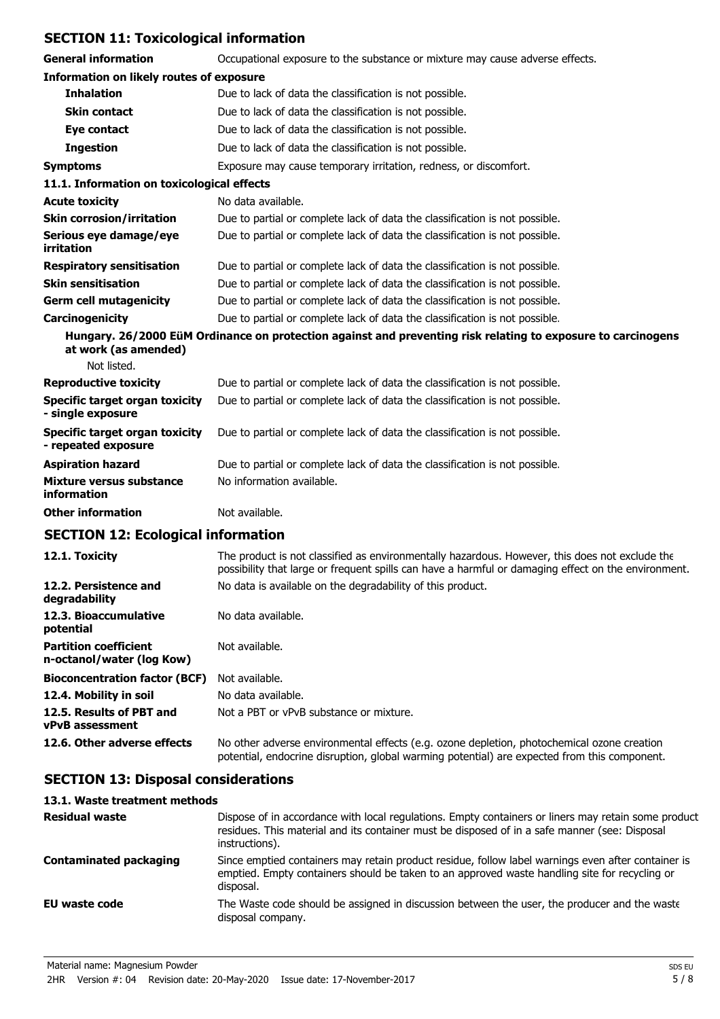# **SECTION 11: Toxicological information**

| SLCTION II. TOXICORGICAI III. MAGUOT                  |                                                                                                              |
|-------------------------------------------------------|--------------------------------------------------------------------------------------------------------------|
| <b>General information</b>                            | Occupational exposure to the substance or mixture may cause adverse effects.                                 |
| <b>Information on likely routes of exposure</b>       |                                                                                                              |
| <b>Inhalation</b>                                     | Due to lack of data the classification is not possible.                                                      |
| <b>Skin contact</b>                                   | Due to lack of data the classification is not possible.                                                      |
| Eye contact                                           | Due to lack of data the classification is not possible.                                                      |
| <b>Ingestion</b>                                      | Due to lack of data the classification is not possible.                                                      |
| <b>Symptoms</b>                                       | Exposure may cause temporary irritation, redness, or discomfort.                                             |
| 11.1. Information on toxicological effects            |                                                                                                              |
| <b>Acute toxicity</b>                                 | No data available.                                                                                           |
| <b>Skin corrosion/irritation</b>                      | Due to partial or complete lack of data the classification is not possible.                                  |
| Serious eye damage/eye<br>irritation                  | Due to partial or complete lack of data the classification is not possible.                                  |
| <b>Respiratory sensitisation</b>                      | Due to partial or complete lack of data the classification is not possible.                                  |
| <b>Skin sensitisation</b>                             | Due to partial or complete lack of data the classification is not possible.                                  |
| <b>Germ cell mutagenicity</b>                         | Due to partial or complete lack of data the classification is not possible.                                  |
| Carcinogenicity                                       | Due to partial or complete lack of data the classification is not possible.                                  |
| at work (as amended)                                  | Hungary. 26/2000 EüM Ordinance on protection against and preventing risk relating to exposure to carcinogens |
| Not listed.                                           |                                                                                                              |
| <b>Reproductive toxicity</b>                          | Due to partial or complete lack of data the classification is not possible.                                  |
| Specific target organ toxicity<br>- single exposure   | Due to partial or complete lack of data the classification is not possible.                                  |
| Specific target organ toxicity<br>- repeated exposure | Due to partial or complete lack of data the classification is not possible.                                  |
| <b>Aspiration hazard</b>                              | Due to partial or complete lack of data the classification is not possible.                                  |
| Mixture versus substance<br>information               | No information available.                                                                                    |
| <b>Other information</b>                              | Not available.                                                                                               |
|                                                       |                                                                                                              |

# **SECTION 12: Ecological information**

| 12.1. Toxicity                                            | The product is not classified as environmentally hazardous. However, this does not exclude the<br>possibility that large or frequent spills can have a harmful or damaging effect on the environment. |
|-----------------------------------------------------------|-------------------------------------------------------------------------------------------------------------------------------------------------------------------------------------------------------|
| 12.2. Persistence and<br>degradability                    | No data is available on the degradability of this product.                                                                                                                                            |
| 12.3. Bioaccumulative<br>potential                        | No data available.                                                                                                                                                                                    |
| <b>Partition coefficient</b><br>n-octanol/water (log Kow) | Not available.                                                                                                                                                                                        |
| <b>Bioconcentration factor (BCF)</b>                      | Not available.                                                                                                                                                                                        |
| 12.4. Mobility in soil                                    | No data available.                                                                                                                                                                                    |
| 12.5. Results of PBT and<br><b>vPvB</b> assessment        | Not a PBT or vPvB substance or mixture.                                                                                                                                                               |
| 12.6. Other adverse effects                               | No other adverse environmental effects (e.g. ozone depletion, photochemical ozone creation<br>potential, endocrine disruption, global warming potential) are expected from this component.            |

# **SECTION 13: Disposal considerations**

| 13.1. Waste treatment methods |                                                                                                                                                                                                                        |  |
|-------------------------------|------------------------------------------------------------------------------------------------------------------------------------------------------------------------------------------------------------------------|--|
| <b>Residual waste</b>         | Dispose of in accordance with local regulations. Empty containers or liners may retain some product<br>residues. This material and its container must be disposed of in a safe manner (see: Disposal<br>instructions). |  |
| <b>Contaminated packaging</b> | Since emptied containers may retain product residue, follow label warnings even after container is<br>emptied. Empty containers should be taken to an approved waste handling site for recycling or<br>disposal.       |  |
| EU waste code                 | The Waste code should be assigned in discussion between the user, the producer and the waste<br>disposal company.                                                                                                      |  |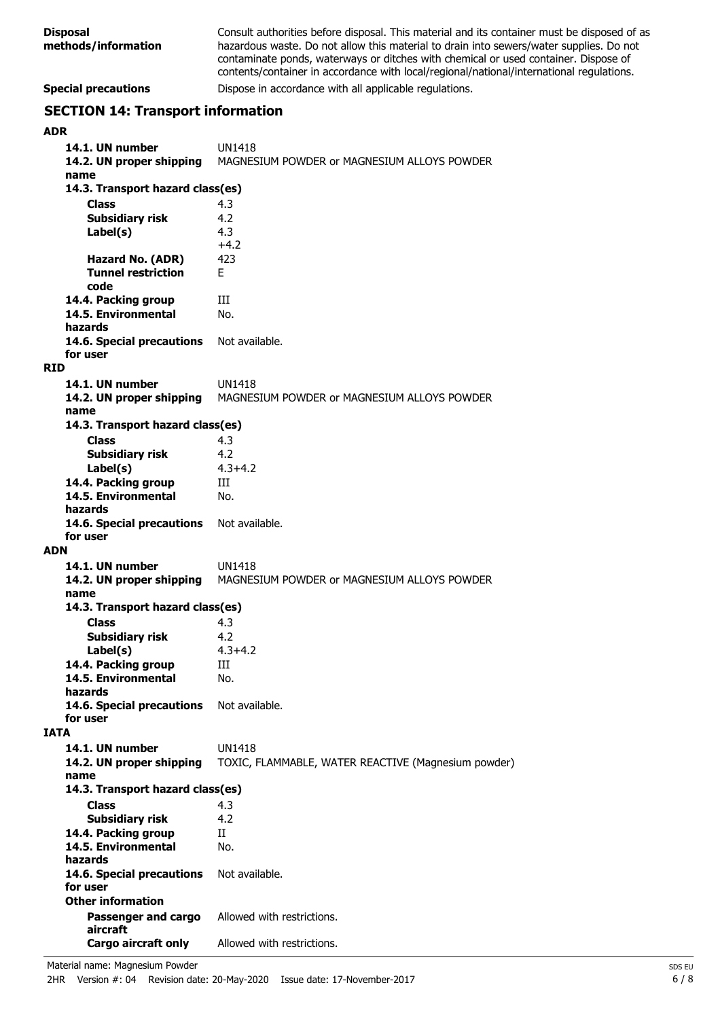| <b>Special precautions</b><br><b>SECTION 14: Transport information</b> | Dispose in accordance with all applicable regulations.                                                                                                                                                                                                                                                                                                                    |
|------------------------------------------------------------------------|---------------------------------------------------------------------------------------------------------------------------------------------------------------------------------------------------------------------------------------------------------------------------------------------------------------------------------------------------------------------------|
| <b>Disposal</b><br>methods/information                                 | Consult authorities before disposal. This material and its container must be disposed of as<br>hazardous waste. Do not allow this material to drain into sewers/water supplies. Do not<br>contaminate ponds, waterways or ditches with chemical or used container. Dispose of<br>contents/container in accordance with local/regional/national/international regulations. |

**ADR 14.1. UN number** UN1418 **14.2. UN proper shipping** MAGNESIUM POWDER or MAGNESIUM ALLOYS POWDER **name Class** 4.3 **14.3. Transport hazard class(es) Subsidiary risk** 4.2 4.3  $+4.2$ **Label(s) Hazard No. (ADR)** 423 **Tunnel restriction** F **code 14.4. Packing group III 14.5. Environmental** No. **hazards 14.6. Special precautions** Not available. **for user RID 14.1. UN number** UN1418 **14.2. UN proper shipping** MAGNESIUM POWDER or MAGNESIUM ALLOYS POWDER **name Class** 4.3 **14.3. Transport hazard class(es) Subsidiary risk** 4.2 **Label(s)** 4.3+4.2 **14.4. Packing group III 14.5. Environmental** No. **hazards** 14.6. Special precautions Not available. **for user ADN 14.1. UN number** UN1418 **14.2. UN proper shipping** MAGNESIUM POWDER or MAGNESIUM ALLOYS POWDER **name Class** 4.3 **14.3. Transport hazard class(es) Subsidiary risk** 4.2 **Label(s)** 4.3+4.2 **14.4. Packing group** III **14.5. Environmental** No. **hazards** 14.6. Special precautions Not available. **for user IATA 14.1. UN number** UN1418 **14.2. UN proper shipping** TOXIC, FLAMMABLE, WATER REACTIVE (Magnesium powder) **name Class** 4.3 **14.3. Transport hazard class(es) Subsidiary risk** 4.2 **14.4. Packing group** II **14.5. Environmental** No. **hazards** 14.6. Special precautions Not available. **for user Passenger and cargo** Allowed with restrictions. **aircraft Other information Cargo aircraft only** Allowed with restrictions.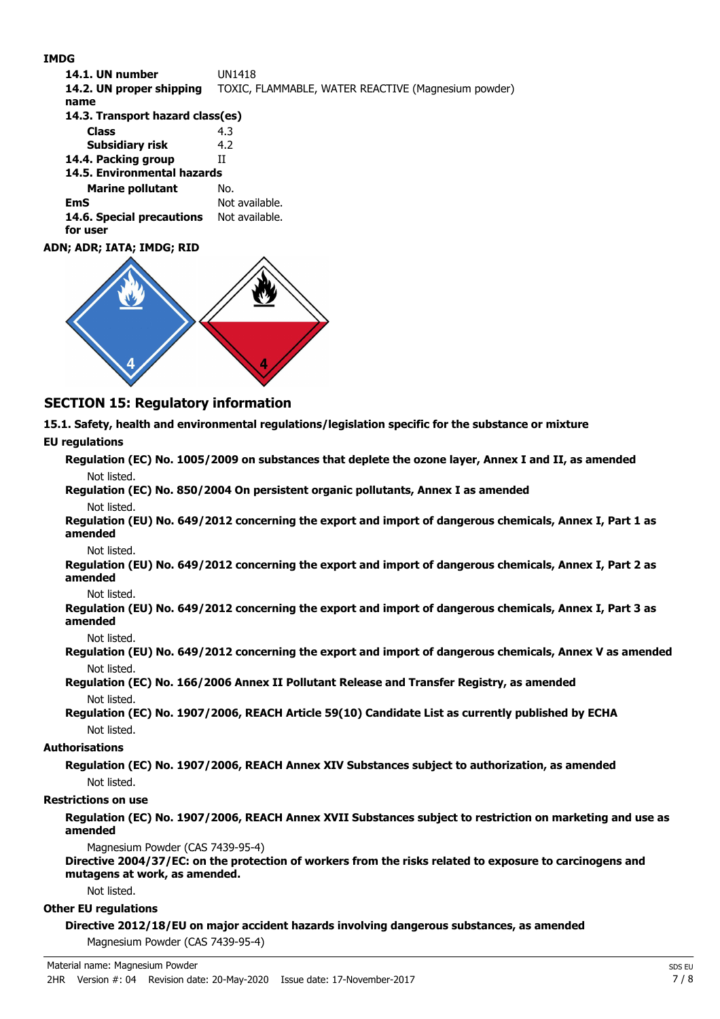#### **IMDG**

| 14.1. UN number                       | UN1418                                              |
|---------------------------------------|-----------------------------------------------------|
| 14.2. UN proper shipping              | TOXIC, FLAMMABLE, WATER REACTIVE (Magnesium powder) |
| name                                  |                                                     |
| 14.3. Transport hazard class(es)      |                                                     |
| <b>Class</b>                          | 4.3                                                 |
| Subsidiary risk                       | 4.2                                                 |
| 14.4. Packing group                   | Н                                                   |
| 14.5. Environmental hazards           |                                                     |
| <b>Marine pollutant</b>               | No.                                                 |
| <b>EmS</b>                            | Not available.                                      |
| 14.6. Special precautions<br>for user | Not available.                                      |
| ADN; ADR; IATA; IMDG; RID             |                                                     |



# **SECTION 15: Regulatory information**

**15.1. Safety, health and environmental regulations/legislation specific for the substance or mixture**

#### **EU regulations**

**Regulation (EC) No. 1005/2009 on substances that deplete the ozone layer, Annex I and II, as amended** Not listed.

**Regulation (EC) No. 850/2004 On persistent organic pollutants, Annex I as amended** Not listed.

**Regulation (EU) No. 649/2012 concerning the export and import of dangerous chemicals, Annex I, Part 1 as amended**

Not listed.

**Regulation (EU) No. 649/2012 concerning the export and import of dangerous chemicals, Annex I, Part 2 as amended**

Not listed.

**Regulation (EU) No. 649/2012 concerning the export and import of dangerous chemicals, Annex I, Part 3 as amended**

Not listed.

**Regulation (EU) No. 649/2012 concerning the export and import of dangerous chemicals, Annex V as amended** Not listed.

**Regulation (EC) No. 166/2006 Annex II Pollutant Release and Transfer Registry, as amended** Not listed.

**Regulation (EC) No. 1907/2006, REACH Article 59(10) Candidate List as currently published by ECHA** Not listed.

#### **Authorisations**

**Regulation (EC) No. 1907/2006, REACH Annex XIV Substances subject to authorization, as amended** Not listed.

#### **Restrictions on use**

**Regulation (EC) No. 1907/2006, REACH Annex XVII Substances subject to restriction on marketing and use as amended**

Magnesium Powder (CAS 7439-95-4)

**Directive 2004/37/EC: on the protection of workers from the risks related to exposure to carcinogens and mutagens at work, as amended.**

Not listed.

## **Other EU regulations**

**Directive 2012/18/EU on major accident hazards involving dangerous substances, as amended** Magnesium Powder (CAS 7439-95-4)